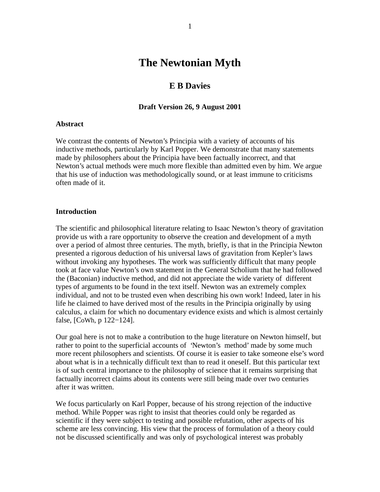# **The Newtonian Myth**

# **E B Davies**

#### **Draft Version 26, 9 August 2001**

#### **Abstract**

We contrast the contents of Newton's Principia with a variety of accounts of his inductive methods, particularly by Karl Popper. We demonstrate that many statements made by philosophers about the Principia have been factually incorrect, and that Newton's actual methods were much more flexible than admitted even by him. We argue that his use of induction was methodologically sound, or at least immune to criticisms often made of it.

#### **Introduction**

The scientific and philosophical literature relating to Isaac Newton's theory of gravitation provide us with a rare opportunity to observe the creation and development of a myth over a period of almost three centuries. The myth, briefly, is that in the Principia Newton presented a rigorous deduction of his universal laws of gravitation from Kepler's laws without invoking any hypotheses. The work was sufficiently difficult that many people took at face value Newton's own statement in the General Scholium that he had followed the (Baconian) inductive method, and did not appreciate the wide variety of different types of arguments to be found in the text itself. Newton was an extremely complex individual, and not to be trusted even when describing his own work! Indeed, later in his life he claimed to have derived most of the results in the Principia originally by using calculus, a claim for which no documentary evidence exists and which is almost certainly false, [CoWh, p 122−124].

Our goal here is not to make a contribution to the huge literature on Newton himself, but rather to point to the superficial accounts of 'Newton's method' made by some much more recent philosophers and scientists. Of course it is easier to take someone else's word about what is in a technically difficult text than to read it oneself. But this particular text is of such central importance to the philosophy of science that it remains surprising that factually incorrect claims about its contents were still being made over two centuries after it was written.

We focus particularly on Karl Popper, because of his strong rejection of the inductive method. While Popper was right to insist that theories could only be regarded as scientific if they were subject to testing and possible refutation, other aspects of his scheme are less convincing. His view that the process of formulation of a theory could not be discussed scientifically and was only of psychological interest was probably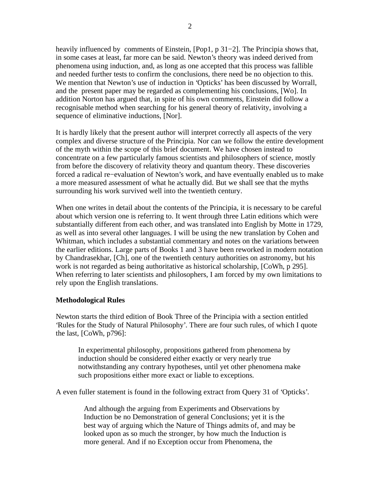heavily influenced by comments of Einstein, [Pop1, p 31−2]. The Principia shows that, in some cases at least, far more can be said. Newton's theory was indeed derived from phenomena using induction, and, as long as one accepted that this process was fallible and needed further tests to confirm the conclusions, there need be no objection to this. We mention that Newton's use of induction in 'Opticks' has been discussed by Worrall, and the present paper may be regarded as complementing his conclusions, [Wo]. In addition Norton has argued that, in spite of his own comments, Einstein did follow a recognisable method when searching for his general theory of relativity, involving a sequence of eliminative inductions, [Nor].

It is hardly likely that the present author will interpret correctly all aspects of the very complex and diverse structure of the Principia. Nor can we follow the entire development of the myth within the scope of this brief document. We have chosen instead to concentrate on a few particularly famous scientists and philosophers of science, mostly from before the discovery of relativity theory and quantum theory. These discoveries forced a radical re−evaluation of Newton's work, and have eventually enabled us to make a more measured assessment of what he actually did. But we shall see that the myths surrounding his work survived well into the twentieth century.

When one writes in detail about the contents of the Principia, it is necessary to be careful about which version one is referring to. It went through three Latin editions which were substantially different from each other, and was translated into English by Motte in 1729, as well as into several other languages. I will be using the new translation by Cohen and Whitman, which includes a substantial commentary and notes on the variations between the earlier editions. Large parts of Books 1 and 3 have been reworked in modern notation by Chandrasekhar, [Ch], one of the twentieth century authorities on astronomy, but his work is not regarded as being authoritative as historical scholarship, [CoWh, p 295]. When referring to later scientists and philosophers, I am forced by my own limitations to rely upon the English translations.

#### **Methodological Rules**

Newton starts the third edition of Book Three of the Principia with a section entitled 'Rules for the Study of Natural Philosophy'. There are four such rules, of which I quote the last, [CoWh, p796]:

In experimental philosophy, propositions gathered from phenomena by induction should be considered either exactly or very nearly true notwithstanding any contrary hypotheses, until yet other phenomena make such propositions either more exact or liable to exceptions.

A even fuller statement is found in the following extract from Query 31 of 'Opticks'.

And although the arguing from Experiments and Observations by Induction be no Demonstration of general Conclusions; yet it is the best way of arguing which the Nature of Things admits of, and may be looked upon as so much the stronger, by how much the Induction is more general. And if no Exception occur from Phenomena, the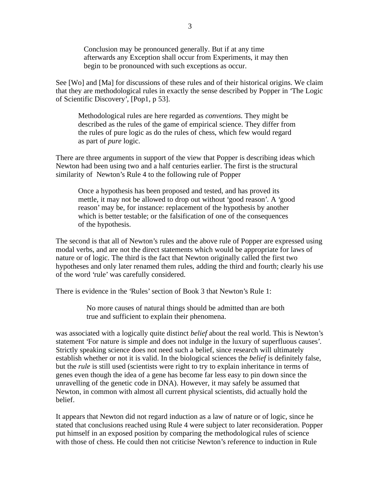Conclusion may be pronounced generally. But if at any time afterwards any Exception shall occur from Experiments, it may then begin to be pronounced with such exceptions as occur.

See [Wo] and [Ma] for discussions of these rules and of their historical origins. We claim that they are methodological rules in exactly the sense described by Popper in 'The Logic of Scientific Discovery', [Pop1, p 53].

Methodological rules are here regarded as *conventions*. They might be described as the rules of the game of empirical science. They differ from the rules of pure logic as do the rules of chess, which few would regard as part of *pure* logic.

There are three arguments in support of the view that Popper is describing ideas which Newton had been using two and a half centuries earlier. The first is the structural similarity of Newton's Rule 4 to the following rule of Popper

Once a hypothesis has been proposed and tested, and has proved its mettle, it may not be allowed to drop out without 'good reason'. A 'good reason' may be, for instance: replacement of the hypothesis by another which is better testable; or the falsification of one of the consequences of the hypothesis.

The second is that all of Newton's rules and the above rule of Popper are expressed using modal verbs, and are not the direct statements which would be appropriate for laws of nature or of logic. The third is the fact that Newton originally called the first two hypotheses and only later renamed them rules, adding the third and fourth; clearly his use of the word 'rule' was carefully considered.

There is evidence in the 'Rules' section of Book 3 that Newton's Rule 1:

No more causes of natural things should be admitted than are both true and sufficient to explain their phenomena.

was associated with a logically quite distinct *belief* about the real world. This is Newton's statement 'For nature is simple and does not indulge in the luxury of superfluous causes'. Strictly speaking science does not need such a belief, since research will ultimately establish whether or not it is valid. In the biological sciences the *belief* is definitely false, but the *rule* is still used (scientists were right to try to explain inheritance in terms of genes even though the idea of a gene has become far less easy to pin down since the unravelling of the genetic code in DNA). However, it may safely be assumed that Newton, in common with almost all current physical scientists, did actually hold the belief.

It appears that Newton did not regard induction as a law of nature or of logic, since he stated that conclusions reached using Rule 4 were subject to later reconsideration. Popper put himself in an exposed position by comparing the methodological rules of science with those of chess. He could then not criticise Newton's reference to induction in Rule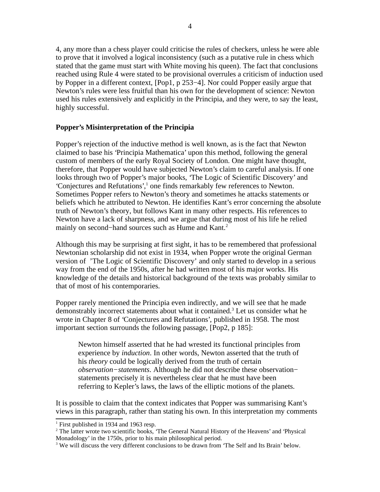4, any more than a chess player could criticise the rules of checkers, unless he were able to prove that it involved a logical inconsistency (such as a putative rule in chess which stated that the game must start with White moving his queen). The fact that conclusions reached using Rule 4 were stated to be provisional overrules a criticism of induction used by Popper in a different context, [Pop1, p 253−4]. Nor could Popper easily argue that Newton's rules were less fruitful than his own for the development of science: Newton used his rules extensively and explicitly in the Principia, and they were, to say the least, highly successful.

# **Popper's Misinterpretation of the Principia**

Popper's rejection of the inductive method is well known, as is the fact that Newton claimed to base his 'Principia Mathematica' upon this method, following the general custom of members of the early Royal Society of London. One might have thought, therefore, that Popper would have subjected Newton's claim to careful analysis. If one looks through two of Popper's major books, 'The Logic of Scientific Discovery' and 'Conjectures and Refutations', 1 one finds remarkably few references to Newton. Sometimes Popper refers to Newton's theory and sometimes he attacks statements or beliefs which he attributed to Newton. He identifies Kant's error concerning the absolute truth of Newton's theory, but follows Kant in many other respects. His references to Newton have a lack of sharpness, and we argue that during most of his life he relied mainly on second–hand sources such as Hume and Kant.<sup>2</sup>

Although this may be surprising at first sight, it has to be remembered that professional Newtonian scholarship did not exist in 1934, when Popper wrote the original German version of 'The Logic of Scientific Discovery' and only started to develop in a serious way from the end of the 1950s, after he had written most of his major works. His knowledge of the details and historical background of the texts was probably similar to that of most of his contemporaries.

Popper rarely mentioned the Principia even indirectly, and we will see that he made demonstrably incorrect statements about what it contained. <sup>3</sup> Let us consider what he wrote in Chapter 8 of 'Conjectures and Refutations', published in 1958. The most important section surrounds the following passage, [Pop2, p 185]:

Newton himself asserted that he had wrested its functional principles from experience by *induction*. In other words, Newton asserted that the truth of his *theory* could be logically derived from the truth of certain *observation−statements*. Although he did not describe these observation− statements precisely it is nevertheless clear that he must have been referring to Kepler's laws, the laws of the elliptic motions of the planets.

It is possible to claim that the context indicates that Popper was summarising Kant's views in this paragraph, rather than stating his own. In this interpretation my comments

<sup>&</sup>lt;sup>1</sup> First published in 1934 and 1963 resp.

<sup>&</sup>lt;sup>2</sup> The latter wrote two scientific books, 'The General Natural History of the Heavens' and 'Physical Monadology' in the 1750s, prior to his main philosophical period.

 $3$  We will discuss the very different conclusions to be drawn from 'The Self and Its Brain' below.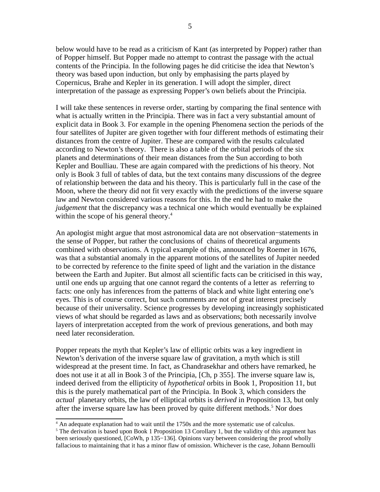below would have to be read as a criticism of Kant (as interpreted by Popper) rather than of Popper himself. But Popper made no attempt to contrast the passage with the actual contents of the Principia. In the following pages he did criticise the idea that Newton's theory was based upon induction, but only by emphasising the parts played by Copernicus, Brahe and Kepler in its generation. I will adopt the simpler, direct interpretation of the passage as expressing Popper's own beliefs about the Principia.

I will take these sentences in reverse order, starting by comparing the final sentence with what is actually written in the Principia. There was in fact a very substantial amount of explicit data in Book 3. For example in the opening Phenomena section the periods of the four satellites of Jupiter are given together with four different methods of estimating their distances from the centre of Jupiter. These are compared with the results calculated according to Newton's theory. There is also a table of the orbital periods of the six planets and determinations of their mean distances from the Sun according to both Kepler and Boulliau. These are again compared with the predictions of his theory. Not only is Book 3 full of tables of data, but the text contains many discussions of the degree of relationship between the data and his theory. This is particularly full in the case of the Moon, where the theory did not fit very exactly with the predictions of the inverse square law and Newton considered various reasons for this. In the end he had to make the *judgement* that the discrepancy was a technical one which would eventually be explained within the scope of his general theory.<sup>4</sup>

An apologist might argue that most astronomical data are not observation−statements in the sense of Popper, but rather the conclusions of chains of theoretical arguments combined with observations. A typical example of this, announced by Roemer in 1676, was that a substantial anomaly in the apparent motions of the satellites of Jupiter needed to be corrected by reference to the finite speed of light and the variation in the distance between the Earth and Jupiter. But almost all scientific facts can be criticised in this way, until one ends up arguing that one cannot regard the contents of a letter as referring to facts: one only has inferences from the patterns of black and white light entering one's eyes. This is of course correct, but such comments are not of great interest precisely because of their universality. Science progresses by developing increasingly sophisticated views of what should be regarded as laws and as observations; both necessarily involve layers of interpretation accepted from the work of previous generations, and both may need later reconsideration.

Popper repeats the myth that Kepler's law of elliptic orbits was a key ingredient in Newton's derivation of the inverse square law of gravitation, a myth which is still widespread at the present time. In fact, as Chandrasekhar and others have remarked, he does not use it at all in Book 3 of the Principia, [Ch, p 355]. The inverse square law is, indeed derived from the ellipticity of *hypothetical* orbits in Book 1, Proposition 11, but this is the purely mathematical part of the Principia. In Book 3, which considers the *actual* planetary orbits, the law of elliptical orbits is *derived* in Proposition 13, but only after the inverse square law has been proved by quite different methods. <sup>5</sup> Nor does

<sup>4</sup> An adequate explanation had to wait until the 1750s and the more systematic use of calculus.

<sup>&</sup>lt;sup>5</sup> The derivation is based upon Book 1 Proposition 13 Corollary 1, but the validity of this argument has been seriously questioned, [CoWh, p 135−136]. Opinions vary between considering the proof wholly fallacious to maintaining that it has a minor flaw of omission. Whichever is the case, Johann Bernoulli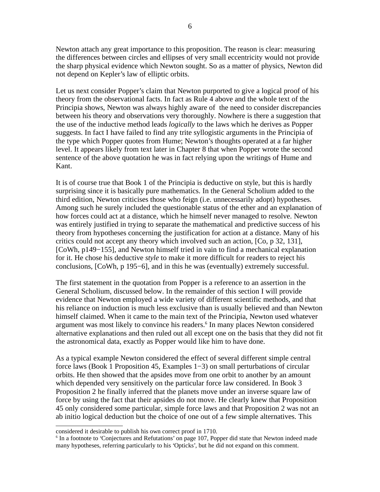Newton attach any great importance to this proposition. The reason is clear: measuring the differences between circles and ellipses of very small eccentricity would not provide the sharp physical evidence which Newton sought. So as a matter of physics, Newton did not depend on Kepler's law of elliptic orbits.

Let us next consider Popper's claim that Newton purported to give a logical proof of his theory from the observational facts. In fact as Rule 4 above and the whole text of the Principia shows, Newton was always highly aware of the need to consider discrepancies between his theory and observations very thoroughly. Nowhere is there a suggestion that the use of the inductive method leads *logically* to the laws which he derives as Popper suggests. In fact I have failed to find any trite syllogistic arguments in the Principia of the type which Popper quotes from Hume; Newton's thoughts operated at a far higher level. It appears likely from text later in Chapter 8 that when Popper wrote the second sentence of the above quotation he was in fact relying upon the writings of Hume and Kant.

It is of course true that Book 1 of the Principia is deductive on style, but this is hardly surprising since it is basically pure mathematics. In the General Scholium added to the third edition, Newton criticises those who feign (i.e. unnecessarily adopt) hypotheses. Among such he surely included the questionable status of the ether and an explanation of how forces could act at a distance, which he himself never managed to resolve. Newton was entirely justified in trying to separate the mathematical and predictive success of his theory from hypotheses concerning the justification for action at a distance. Many of his critics could not accept any theory which involved such an action, [Co, p 32, 131], [CoWh, p149−155], and Newton himself tried in vain to find a mechanical explanation for it. He chose his deductive *style* to make it more difficult for readers to reject his conclusions, [CoWh, p 195−6], and in this he was (eventually) extremely successful.

The first statement in the quotation from Popper is a reference to an assertion in the General Scholium, discussed below. In the remainder of this section I will provide evidence that Newton employed a wide variety of different scientific methods, and that his reliance on induction is much less exclusive than is usually believed and than Newton himself claimed. When it came to the main text of the Principia, Newton used whatever argument was most likely to convince his readers. 6 In many places Newton considered alternative explanations and then ruled out all except one on the basis that they did not fit the astronomical data, exactly as Popper would like him to have done.

As a typical example Newton considered the effect of several different simple central force laws (Book 1 Proposition 45, Examples 1−3) on small perturbations of circular orbits. He then showed that the apsides move from one orbit to another by an amount which depended very sensitively on the particular force law considered. In Book 3 Proposition 2 he finally inferred that the planets move under an inverse square law of force by using the fact that their apsides do not move. He clearly knew that Proposition 45 only considered some particular, simple force laws and that Proposition 2 was not an ab initio logical deduction but the choice of one out of a few simple alternatives. This

considered it desirable to publish his own correct proof in 1710.

<sup>&</sup>lt;sup>6</sup> In a footnote to 'Conjectures and Refutations' on page 107, Popper did state that Newton indeed made many hypotheses, referring particularly to his 'Opticks', but he did not expand on this comment.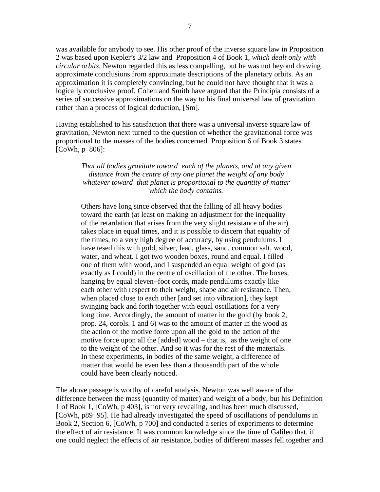was available for anybody to see. His other proof of the inverse square law in Proposition 2 was based upon Kepler's 3/2 law and Proposition 4 of Book 1, *which dealt only with circular orbits*. Newton regarded this as less compelling, but he was not beyond drawing approximate conclusions from approximate descriptions of the planetary orbits. As an approximation it is completely convincing, but he could not have thought that it was a logically conclusive proof. Cohen and Smith have argued that the Principia consists of a series of successive approximations on the way to his final universal law of gravitation rather than a process of logical deduction, [Sm].

Having established to his satisfaction that there was a universal inverse square law of gravitation, Newton next turned to the question of whether the gravitational force was proportional to the masses of the bodies concerned. Proposition 6 of Book 3 states [CoWh, p 806]:

### *That all bodies gravitate toward each of the planets, and at any given distance from the centre of any one planet the weight of any body whatever toward that planet is proportional to the quantity of matter which the body contains.*

Others have long since observed that the falling of all heavy bodies toward the earth (at least on making an adjustment for the inequality of the retardation that arises from the very slight resistance of the air) takes place in equal times, and it is possible to discern that equality of the times, to a very high degree of accuracy, by using pendulums. I have tesed this with gold, silver, lead, glass, sand, common salt, wood, water, and wheat. I got two wooden boxes, round and equal. I filled one of them with wood, and I suspended an equal weight of gold (as exactly as I could) in the centre of oscillation of the other. The boxes, hanging by equal eleven−foot cords, made pendulums exactly like each other with respect to their weight, shape and air resistance. Then, when placed close to each other [and set into vibration], they kept swinging back and forth together with equal oscillations for a very long time. Accordingly, the amount of matter in the gold (by book 2, prop. 24, corols. 1 and 6) was to the amount of matter in the wood as the action of the motive force upon all the gold to the action of the motive force upon all the [added] wood – that is, as the weight of one to the weight of the other. And so it was for the rest of the materials. In these experiments, in bodies of the same weight, a difference of matter that would be even less than a thousandth part of the whole could have been clearly noticed.

The above passage is worthy of careful analysis. Newton was well aware of the difference between the mass (quantity of matter) and weight of a body, but his Definition 1 of Book 1, [CoWh, p 403], is not very revealing, and has been much discussed, [CoWh, p89−95]. He had already investigated the speed of oscillations of pendulums in Book 2, Section 6, [CoWh, p 700] and conducted a series of experiments to determine the effect of air resistance. It was common knowledge since the time of Galileo that, if one could neglect the effects of air resistance, bodies of different masses fell together and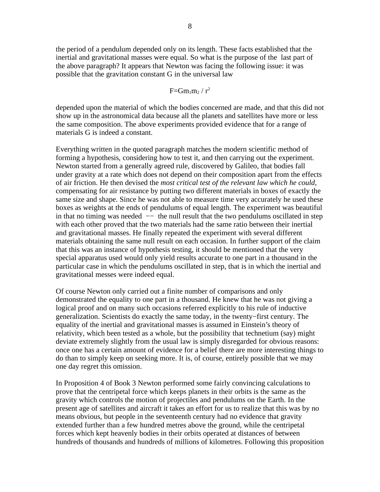the period of a pendulum depended only on its length. These facts established that the inertial and gravitational masses were equal. So what is the purpose of the last part of the above paragraph? It appears that Newton was facing the following issue: it was possible that the gravitation constant G in the universal law

$$
F\!\!=\!\!Gm_1m_2\,/\,r^2
$$

depended upon the material of which the bodies concerned are made, and that this did not show up in the astronomical data because all the planets and satellites have more or less the same composition. The above experiments provided evidence that for a range of materials G is indeed a constant.

Everything written in the quoted paragraph matches the modern scientific method of forming a hypothesis, considering how to test it, and then carrying out the experiment. Newton started from a generally agreed rule, discovered by Galileo, that bodies fall under gravity at a rate which does not depend on their composition apart from the effects of air friction. He then devised the *most critical test of the relevant law which he could*, compensating for air resistance by putting two different materials in boxes of exactly the same size and shape. Since he was not able to measure time very accurately he used these boxes as weights at the ends of pendulums of equal length. The experiment was beautiful in that no timing was needed  $-−$  the null result that the two pendulums oscillated in step with each other proved that the two materials had the same ratio between their inertial and gravitational masses. He finally repeated the experiment with several different materials obtaining the same null result on each occasion. In further support of the claim that this was an instance of hypothesis testing, it should be mentioned that the very special apparatus used would only yield results accurate to one part in a thousand in the particular case in which the pendulums oscillated in step, that is in which the inertial and gravitational messes were indeed equal.

Of course Newton only carried out a finite number of comparisons and only demonstrated the equality to one part in a thousand. He knew that he was not giving a logical proof and on many such occasions referred explicitly to his rule of inductive generalization. Scientists do exactly the same today, in the twenty−first century. The equality of the inertial and gravitational masses is assumed in Einstein's theory of relativity, which been tested as a whole, but the possibility that technetium (say) might deviate extremely slightly from the usual law is simply disregarded for obvious reasons: once one has a certain amount of evidence for a belief there are more interesting things to do than to simply keep on seeking more. It is, of course, entirely possible that we may one day regret this omission.

In Proposition 4 of Book 3 Newton performed some fairly convincing calculations to prove that the centripetal force which keeps planets in their orbits is the same as the gravity which controls the motion of projectiles and pendulums on the Earth. In the present age of satellites and aircraft it takes an effort for us to realize that this was by no means obvious, but people in the seventeenth century had no evidence that gravity extended further than a few hundred metres above the ground, while the centripetal forces which kept heavenly bodies in their orbits operated at distances of between hundreds of thousands and hundreds of millions of kilometres. Following this proposition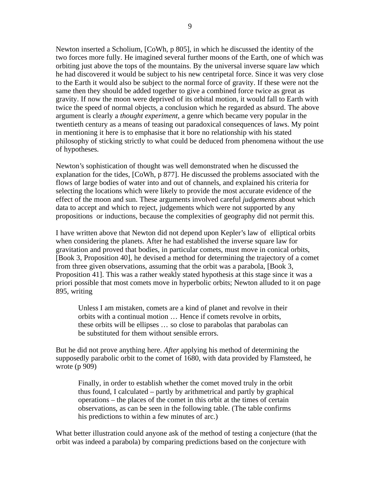Newton inserted a Scholium, [CoWh, p 805], in which he discussed the identity of the two forces more fully. He imagined several further moons of the Earth, one of which was orbiting just above the tops of the mountains. By the universal inverse square law which he had discovered it would be subject to his new centripetal force. Since it was very close to the Earth it would also be subject to the normal force of gravity. If these were not the same then they should be added together to give a combined force twice as great as gravity. If now the moon were deprived of its orbital motion, it would fall to Earth with twice the speed of normal objects, a conclusion which he regarded as absurd. The above argument is clearly a *thought experiment*, a genre which became very popular in the twentieth century as a means of teasing out paradoxical consequences of laws. My point in mentioning it here is to emphasise that it bore no relationship with his stated philosophy of sticking strictly to what could be deduced from phenomena without the use of hypotheses.

Newton's sophistication of thought was well demonstrated when he discussed the explanation for the tides, [CoWh, p 877]. He discussed the problems associated with the flows of large bodies of water into and out of channels, and explained his criteria for selecting the locations which were likely to provide the most accurate evidence of the effect of the moon and sun. These arguments involved careful *judgements* about which data to accept and which to reject, judgements which were not supported by any propositions or inductions, because the complexities of geography did not permit this.

I have written above that Newton did not depend upon Kepler's law of elliptical orbits when considering the planets. After he had established the inverse square law for gravitation and proved that bodies, in particular comets, must move in conical orbits, [Book 3, Proposition 40], he devised a method for determining the trajectory of a comet from three given observations, assuming that the orbit was a parabola, [Book 3, Proposition 41]. This was a rather weakly stated hypothesis at this stage since it was a priori possible that most comets move in hyperbolic orbits; Newton alluded to it on page 895, writing

Unless I am mistaken, comets are a kind of planet and revolve in their orbits with a continual motion … Hence if comets revolve in orbits, these orbits will be ellipses … so close to parabolas that parabolas can be substituted for them without sensible errors.

But he did not prove anything here. *After* applying his method of determining the supposedly parabolic orbit to the comet of 1680, with data provided by Flamsteed, he wrote (p 909)

Finally, in order to establish whether the comet moved truly in the orbit thus found, I calculated – partly by arithmetrical and partly by graphical operations – the places of the comet in this orbit at the times of certain observations, as can be seen in the following table. (The table confirms his predictions to within a few minutes of arc.)

What better illustration could anyone ask of the method of testing a conjecture (that the orbit was indeed a parabola) by comparing predictions based on the conjecture with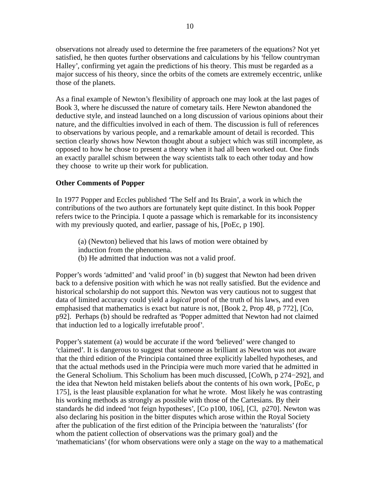observations not already used to determine the free parameters of the equations? Not yet satisfied, he then quotes further observations and calculations by his 'fellow countryman Halley', confirming yet again the predictions of his theory. This must be regarded as a major success of his theory, since the orbits of the comets are extremely eccentric, unlike those of the planets.

As a final example of Newton's flexibility of approach one may look at the last pages of Book 3, where he discussed the nature of cometary tails. Here Newton abandoned the deductive style, and instead launched on a long discussion of various opinions about their nature, and the difficulties involved in each of them. The discussion is full of references to observations by various people, and a remarkable amount of detail is recorded. This section clearly shows how Newton thought about a subject which was still incomplete, as opposed to how he chose to present a theory when it had all been worked out. One finds an exactly parallel schism between the way scientists talk to each other today and how they choose to write up their work for publication.

#### **Other Comments of Popper**

In 1977 Popper and Eccles published 'The Self and Its Brain', a work in which the contributions of the two authors are fortunately kept quite distinct. In this book Popper refers twice to the Principia. I quote a passage which is remarkable for its inconsistency with my previously quoted, and earlier, passage of his, [PoEc, p 190].

(a) (Newton) believed that his laws of motion were obtained by

- induction from the phenomena.
- (b) He admitted that induction was not a valid proof.

Popper's words 'admitted' and 'valid proof' in (b) suggest that Newton had been driven back to a defensive position with which he was not really satisfied. But the evidence and historical scholarship do not support this. Newton was very cautious not to suggest that data of limited accuracy could yield a *logical* proof of the truth of his laws, and even emphasised that mathematics is exact but nature is not, [Book 2, Prop 48, p 772], [Co, p92]. Perhaps (b) should be redrafted as 'Popper admitted that Newton had not claimed that induction led to a logically irrefutable proof'.

Popper's statement (a) would be accurate if the word 'believed' were changed to 'claimed'. It is dangerous to suggest that someone as brilliant as Newton was not aware that the third edition of the Principia contained three explicitly labelled hypotheses, and that the actual methods used in the Principia were much more varied that he admitted in the General Scholium. This Scholium has been much discussed, [CoWh, p 274−292], and the idea that Newton held mistaken beliefs about the contents of his own work, [PoEc, p 175], is the least plausible explanation for what he wrote. Most likely he was contrasting his working methods as strongly as possible with those of the Cartesians. By their standards he did indeed 'not feign hypotheses', [Co p100, 106], [Cl, p270]. Newton was also declaring his position in the bitter disputes which arose within the Royal Society after the publication of the first edition of the Principia between the 'naturalists' (for whom the patient collection of observations was the primary goal) and the 'mathematicians' (for whom observations were only a stage on the way to a mathematical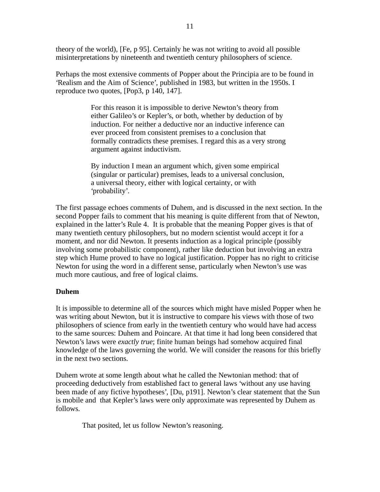theory of the world), [Fe, p 95]. Certainly he was not writing to avoid all possible misinterpretations by nineteenth and twentieth century philosophers of science.

Perhaps the most extensive comments of Popper about the Principia are to be found in 'Realism and the Aim of Science', published in 1983, but written in the 1950s. I reproduce two quotes, [Pop3, p 140, 147].

> For this reason it is impossible to derive Newton's theory from either Galileo's or Kepler's, or both, whether by deduction of by induction. For neither a deductive nor an inductive inference can ever proceed from consistent premises to a conclusion that formally contradicts these premises. I regard this as a very strong argument against inductivism.

> By induction I mean an argument which, given some empirical (singular or particular) premises, leads to a universal conclusion, a universal theory, either with logical certainty, or with 'probability'.

The first passage echoes comments of Duhem, and is discussed in the next section. In the second Popper fails to comment that his meaning is quite different from that of Newton, explained in the latter's Rule 4. It is probable that the meaning Popper gives is that of many twentieth century philosophers, but no modern scientist would accept it for a moment, and nor did Newton. It presents induction as a logical principle (possibly involving some probabilistic component), rather like deduction but involving an extra step which Hume proved to have no logical justification. Popper has no right to criticise Newton for using the word in a different sense, particularly when Newton's use was much more cautious, and free of logical claims.

# **Duhem**

It is impossible to determine all of the sources which might have misled Popper when he was writing about Newton, but it is instructive to compare his views with those of two philosophers of science from early in the twentieth century who would have had access to the same sources: Duhem and Poincare. At that time it had long been considered that Newton's laws were *exactly true*; finite human beings had somehow acquired final knowledge of the laws governing the world. We will consider the reasons for this briefly in the next two sections.

Duhem wrote at some length about what he called the Newtonian method: that of proceeding deductively from established fact to general laws 'without any use having been made of any fictive hypotheses', [Du, p191]. Newton's clear statement that the Sun is mobile and that Kepler's laws were only approximate was represented by Duhem as follows.

That posited, let us follow Newton's reasoning.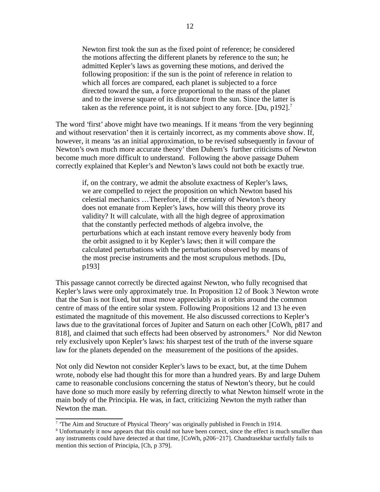Newton first took the sun as the fixed point of reference; he considered the motions affecting the different planets by reference to the sun; he admitted Kepler's laws as governing these motions, and derived the following proposition: if the sun is the point of reference in relation to which all forces are compared, each planet is subjected to a force directed toward the sun, a force proportional to the mass of the planet and to the inverse square of its distance from the sun. Since the latter is taken as the reference point, it is not subject to any force. [Du,  $p192$ ].<sup>7</sup>

The word 'first' above might have two meanings. If it means 'from the very beginning and without reservation' then it is certainly incorrect, as my comments above show. If, however, it means 'as an initial approximation, to be revised subsequently in favour of Newton's own much more accurate theory' then Duhem's further criticisms of Newton become much more difficult to understand. Following the above passage Duhem correctly explained that Kepler's and Newton's laws could not both be exactly true.

if, on the contrary, we admit the absolute exactness of Kepler's laws, we are compelled to reject the proposition on which Newton based his celestial mechanics …Therefore, if the certainty of Newton's theory does not emanate from Kepler's laws, how will this theory prove its validity? It will calculate, with all the high degree of approximation that the constantly perfected methods of algebra involve, the perturbations which at each instant remove every heavenly body from the orbit assigned to it by Kepler's laws; then it will compare the calculated perturbations with the perturbations observed by means of the most precise instruments and the most scrupulous methods. [Du, p193]

This passage cannot correctly be directed against Newton, who fully recognised that Kepler's laws were only approximately true. In Proposition 12 of Book 3 Newton wrote that the Sun is not fixed, but must move appreciably as it orbits around the common centre of mass of the entire solar system. Following Propositions 12 and 13 he even estimated the magnitude of this movement. He also discussed corrections to Kepler's laws due to the gravitational forces of Jupiter and Saturn on each other [CoWh, p817 and 818], and claimed that such effects had been observed by astronomers.<sup>8</sup> Nor did Newton rely exclusively upon Kepler's laws: his sharpest test of the truth of the inverse square law for the planets depended on the measurement of the positions of the apsides.

Not only did Newton not consider Kepler's laws to be exact, but, at the time Duhem wrote, nobody else had thought this for more than a hundred years. By and large Duhem came to reasonable conclusions concerning the status of Newton's theory, but he could have done so much more easily by referring directly to what Newton himself wrote in the main body of the Principia. He was, in fact, criticizing Newton the myth rather than Newton the man.

<sup>&</sup>lt;sup>7</sup> The Aim and Structure of Physical Theory' was originally published in French in 1914.

<sup>&</sup>lt;sup>8</sup> Unfortunately it now appears that this could not have been correct, since the effect is much smaller than any instruments could have detected at that time, [CoWh, p206−217]. Chandrasekhar tactfully fails to mention this section of Principia, [Ch, p 379].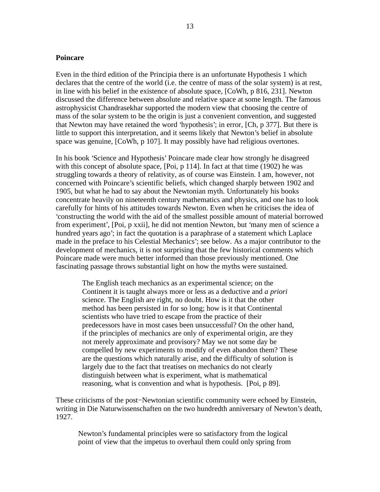#### **Poincare**

Even in the third edition of the Principia there is an unfortunate Hypothesis 1 which declares that the centre of the world (i.e. the centre of mass of the solar system) is at rest, in line with his belief in the existence of absolute space, [CoWh, p 816, 231]. Newton discussed the difference between absolute and relative space at some length. The famous astrophysicist Chandrasekhar supported the modern view that choosing the centre of mass of the solar system to be the origin is just a convenient convention, and suggested that Newton may have retained the word 'hypothesis'; in error, [Ch, p 377]. But there is little to support this interpretation, and it seems likely that Newton's belief in absolute space was genuine, [CoWh, p 107]. It may possibly have had religious overtones.

In his book 'Science and Hypothesis' Poincare made clear how strongly he disagreed with this concept of absolute space, [Poi, p 114]. In fact at that time (1902) he was struggling towards a theory of relativity, as of course was Einstein. I am, however, not concerned with Poincare's scientific beliefs, which changed sharply between 1902 and 1905, but what he had to say about the Newtonian myth. Unfortunately his books concentrate heavily on nineteenth century mathematics and physics, and one has to look carefully for hints of his attitudes towards Newton. Even when he criticises the idea of 'constructing the world with the aid of the smallest possible amount of material borrowed from experiment', [Poi, p xxii], he did not mention Newton, but 'many men of science a hundred years ago'; in fact the quotation is a paraphrase of a statement which Laplace made in the preface to his Celestial Mechanics'; see below. As a major contributor to the development of mechanics, it is not surprising that the few historical comments which Poincare made were much better informed than those previously mentioned. One fascinating passage throws substantial light on how the myths were sustained.

The English teach mechanics as an experimental science; on the Continent it is taught always more or less as a deductive and *a priori* science. The English are right, no doubt. How is it that the other method has been persisted in for so long; how is it that Continental scientists who have tried to escape from the practice of their predecessors have in most cases been unsuccessful? On the other hand, if the principles of mechanics are only of experimental origin, are they not merely approximate and provisory? May we not some day be compelled by new experiments to modify of even abandon them? These are the questions which naturally arise, and the difficulty of solution is largely due to the fact that treatises on mechanics do not clearly distinguish between what is experiment, what is mathematical reasoning, what is convention and what is hypothesis. [Poi, p 89].

These criticisms of the post−Newtonian scientific community were echoed by Einstein, writing in Die Naturwissenschaften on the two hundredth anniversary of Newton's death, 1927.

Newton's fundamental principles were so satisfactory from the logical point of view that the impetus to overhaul them could only spring from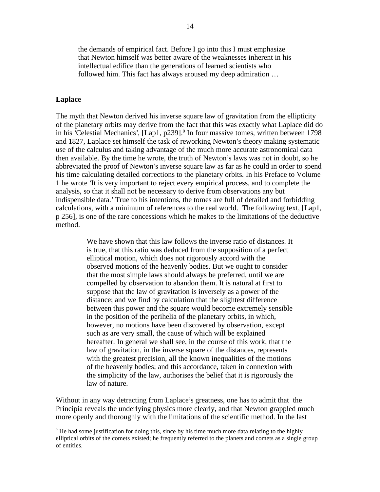the demands of empirical fact. Before I go into this I must emphasize that Newton himself was better aware of the weaknesses inherent in his intellectual edifice than the generations of learned scientists who followed him. This fact has always aroused my deep admiration …

### **Laplace**

The myth that Newton derived his inverse square law of gravitation from the ellipticity of the planetary orbits may derive from the fact that this was exactly what Laplace did do in his 'Celestial Mechanics', [Lap1, p239]. 9 In four massive tomes, written between 1798 and 1827, Laplace set himself the task of reworking Newton's theory making systematic use of the calculus and taking advantage of the much more accurate astronomical data then available. By the time he wrote, the truth of Newton's laws was not in doubt, so he abbreviated the proof of Newton's inverse square law as far as he could in order to spend his time calculating detailed corrections to the planetary orbits. In his Preface to Volume 1 he wrote 'It is very important to reject every empirical process, and to complete the analysis, so that it shall not be necessary to derive from observations any but indispensible data.' True to his intentions, the tomes are full of detailed and forbidding calculations, with a minimum of references to the real world. The following text, [Lap1, p 256], is one of the rare concessions which he makes to the limitations of the deductive method.

> We have shown that this law follows the inverse ratio of distances. It is true, that this ratio was deduced from the supposition of a perfect elliptical motion, which does not rigorously accord with the observed motions of the heavenly bodies. But we ought to consider that the most simple laws should always be preferred, until we are compelled by observation to abandon them. It is natural at first to suppose that the law of gravitation is inversely as a power of the distance; and we find by calculation that the slightest difference between this power and the square would become extremely sensible in the position of the perihelia of the planetary orbits, in which, however, no motions have been discovered by observation, except such as are very small, the cause of which will be explained hereafter. In general we shall see, in the course of this work, that the law of gravitation, in the inverse square of the distances, represents with the greatest precision, all the known inequalities of the motions of the heavenly bodies; and this accordance, taken in connexion with the simplicity of the law, authorises the belief that it is rigorously the law of nature.

Without in any way detracting from Laplace's greatness, one has to admit that the Principia reveals the underlying physics more clearly, and that Newton grappled much more openly and thoroughly with the limitations of the scientific method. In the last

<sup>&</sup>lt;sup>9</sup> He had some justification for doing this, since by his time much more data relating to the highly elliptical orbits of the comets existed; he frequently referred to the planets and comets as a single group of entities.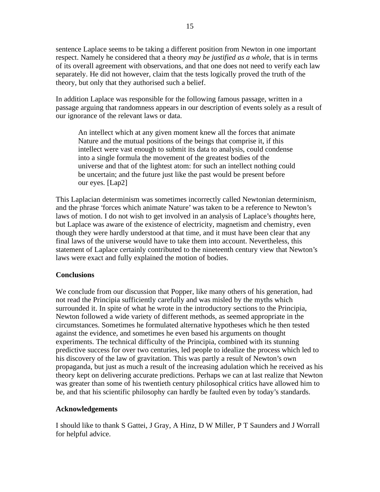sentence Laplace seems to be taking a different position from Newton in one important respect. Namely he considered that a theory *may be justified as a whole*, that is in terms of its overall agreement with observations, and that one does not need to verify each law separately. He did not however, claim that the tests logically proved the truth of the theory, but only that they authorised such a belief.

In addition Laplace was responsible for the following famous passage, written in a passage arguing that randomness appears in our description of events solely as a result of our ignorance of the relevant laws or data.

An intellect which at any given moment knew all the forces that animate Nature and the mutual positions of the beings that comprise it, if this intellect were vast enough to submit its data to analysis, could condense into a single formula the movement of the greatest bodies of the universe and that of the lightest atom: for such an intellect nothing could be uncertain; and the future just like the past would be present before our eyes. [Lap2]

This Laplacian determinism was sometimes incorrectly called Newtonian determinism, and the phrase 'forces which animate Nature' was taken to be a reference to Newton's laws of motion. I do not wish to get involved in an analysis of Laplace's *thoughts* here, but Laplace was aware of the existence of electricity, magnetism and chemistry, even though they were hardly understood at that time, and it must have been clear that any final laws of the universe would have to take them into account. Nevertheless, this statement of Laplace certainly contributed to the nineteenth century view that Newton's laws were exact and fully explained the motion of bodies.

#### **Conclusions**

We conclude from our discussion that Popper, like many others of his generation, had not read the Principia sufficiently carefully and was misled by the myths which surrounded it. In spite of what he wrote in the introductory sections to the Principia, Newton followed a wide variety of different methods, as seemed appropriate in the circumstances. Sometimes he formulated alternative hypotheses which he then tested against the evidence, and sometimes he even based his arguments on thought experiments. The technical difficulty of the Principia, combined with its stunning predictive success for over two centuries, led people to idealize the process which led to his discovery of the law of gravitation. This was partly a result of Newton's own propaganda, but just as much a result of the increasing adulation which he received as his theory kept on delivering accurate predictions. Perhaps we can at last realize that Newton was greater than some of his twentieth century philosophical critics have allowed him to be, and that his scientific philosophy can hardly be faulted even by today's standards.

#### **Acknowledgements**

I should like to thank S Gattei, J Gray, A Hinz, D W Miller, P T Saunders and J Worrall for helpful advice.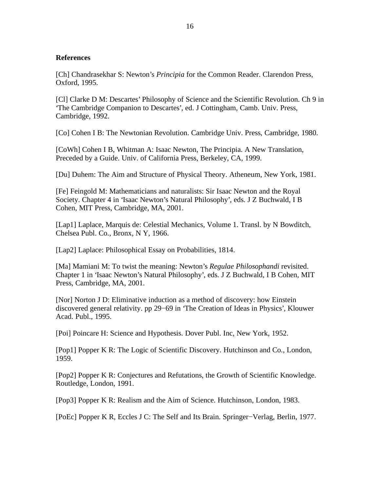## **References**

[Ch] Chandrasekhar S: Newton's *Principia* for the Common Reader. Clarendon Press, Oxford, 1995.

[Cl] Clarke D M: Descartes' Philosophy of Science and the Scientific Revolution. Ch 9 in 'The Cambridge Companion to Descartes', ed. J Cottingham, Camb. Univ. Press, Cambridge, 1992.

[Co] Cohen I B: The Newtonian Revolution. Cambridge Univ. Press, Cambridge, 1980.

[CoWh] Cohen I B, Whitman A: Isaac Newton, The Principia. A New Translation, Preceded by a Guide. Univ. of California Press, Berkeley, CA, 1999.

[Du] Duhem: The Aim and Structure of Physical Theory. Atheneum, New York, 1981.

[Fe] Feingold M: Mathematicians and naturalists: Sir Isaac Newton and the Royal Society. Chapter 4 in 'Isaac Newton's Natural Philosophy', eds. J Z Buchwald, I B Cohen, MIT Press, Cambridge, MA, 2001.

[Lap1] Laplace, Marquis de: Celestial Mechanics, Volume 1. Transl. by N Bowditch, Chelsea Publ. Co., Bronx, N Y, 1966.

[Lap2] Laplace: Philosophical Essay on Probabilities, 1814.

[Ma] Mamiani M: To twist the meaning: Newton's *Regulae Philosophandi* revisited. Chapter 1 in 'Isaac Newton's Natural Philosophy', eds. J Z Buchwald, I B Cohen, MIT Press, Cambridge, MA, 2001.

[Nor] Norton J D: Eliminative induction as a method of discovery: how Einstein discovered general relativity. pp 29−69 in 'The Creation of Ideas in Physics', Klouwer Acad. Publ., 1995.

[Poi] Poincare H: Science and Hypothesis. Dover Publ. Inc, New York, 1952.

[Pop1] Popper K R: The Logic of Scientific Discovery. Hutchinson and Co., London, 1959.

[Pop2] Popper K R: Conjectures and Refutations, the Growth of Scientific Knowledge. Routledge, London, 1991.

[Pop3] Popper K R: Realism and the Aim of Science. Hutchinson, London, 1983.

[PoEc] Popper K R, Eccles J C: The Self and Its Brain. Springer−Verlag, Berlin, 1977.